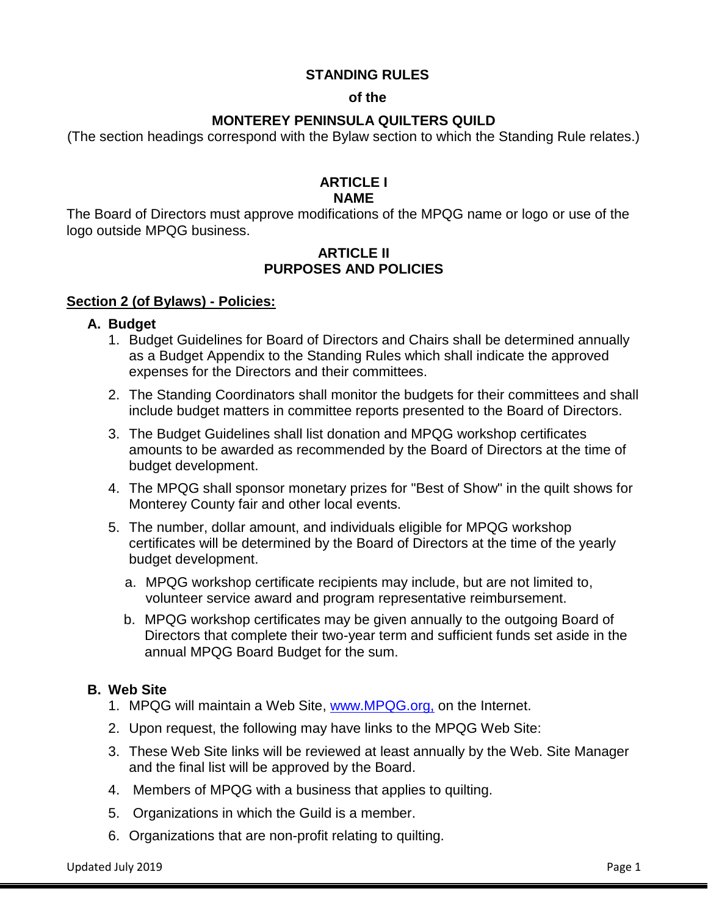# **STANDING RULES**

#### **of the**

# **MONTEREY PENINSULA QUILTERS QUILD**

(The section headings correspond with the Bylaw section to which the Standing Rule relates.)

#### **ARTICLE I NAME**

The Board of Directors must approve modifications of the MPQG name or logo or use of the logo outside MPQG business.

# **ARTICLE II PURPOSES AND POLICIES**

#### **Section 2 (of Bylaws) - Policies:**

#### **A. Budget**

- 1. Budget Guidelines for Board of Directors and Chairs shall be determined annually as a Budget Appendix to the Standing Rules which shall indicate the approved expenses for the Directors and their committees.
- 2. The Standing Coordinators shall monitor the budgets for their committees and shall include budget matters in committee reports presented to the Board of Directors.
- 3. The Budget Guidelines shall list donation and MPQG workshop certificates amounts to be awarded as recommended by the Board of Directors at the time of budget development.
- 4. The MPQG shall sponsor monetary prizes for "Best of Show" in the quilt shows for Monterey County fair and other local events.
- 5. The number, dollar amount, and individuals eligible for MPQG workshop certificates will be determined by the Board of Directors at the time of the yearly budget development.
	- a. MPQG workshop certificate recipients may include, but are not limited to, volunteer service award and program representative reimbursement.
	- b. MPQG workshop certificates may be given annually to the outgoing Board of Directors that complete their two-year term and sufficient funds set aside in the annual MPQG Board Budget for the sum.

# **B. Web Site**

- 1. MPQG will maintain a Web Site, [www.MPQG.org,](http://www.mpqg.org/) on the Internet.
- 2. Upon request, the following may have links to the MPQG Web Site:
- 3. These Web Site links will be reviewed at least annually by the Web. Site Manager and the final list will be approved by the Board.
- 4. Members of MPQG with a business that applies to quilting.
- 5. Organizations in which the Guild is a member.
- 6. Organizations that are non-profit relating to quilting.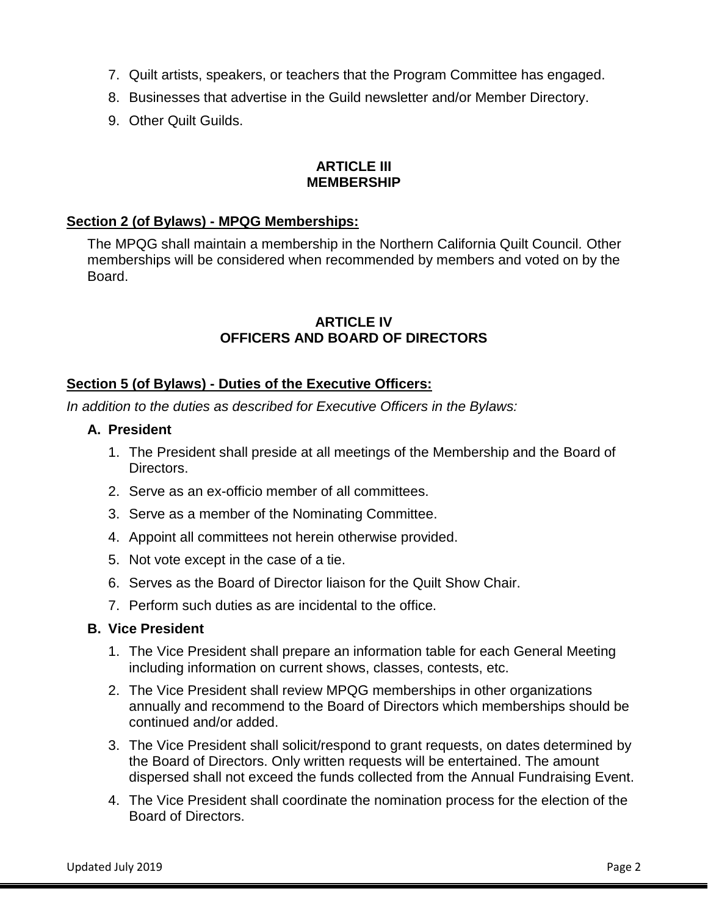- 7. Quilt artists, speakers, or teachers that the Program Committee has engaged.
- 8. Businesses that advertise in the Guild newsletter and/or Member Directory.
- 9. Other Quilt Guilds.

#### **ARTICLE III MEMBERSHIP**

# **Section 2 (of Bylaws) - MPQG Memberships:**

The MPQG shall maintain a membership in the Northern California Quilt Council*.* Other memberships will be considered when recommended by members and voted on by the **Board** 

# **ARTICLE IV OFFICERS AND BOARD OF DIRECTORS**

# **Section 5 (of Bylaws) - Duties of the Executive Officers:**

*In addition to the duties as described for Executive Officers in the Bylaws:*

# **A. President**

- 1. The President shall preside at all meetings of the Membership and the Board of Directors.
- 2. Serve as an ex-officio member of all committees.
- 3. Serve as a member of the Nominating Committee.
- 4. Appoint all committees not herein otherwise provided.
- 5. Not vote except in the case of a tie.
- 6. Serves as the Board of Director liaison for the Quilt Show Chair.
- 7. Perform such duties as are incidental to the office.

# **B. Vice President**

- 1. The Vice President shall prepare an information table for each General Meeting including information on current shows, classes, contests, etc.
- 2. The Vice President shall review MPQG memberships in other organizations annually and recommend to the Board of Directors which memberships should be continued and/or added.
- 3. The Vice President shall solicit/respond to grant requests, on dates determined by the Board of Directors. Only written requests will be entertained. The amount dispersed shall not exceed the funds collected from the Annual Fundraising Event.
- 4. The Vice President shall coordinate the nomination process for the election of the Board of Directors.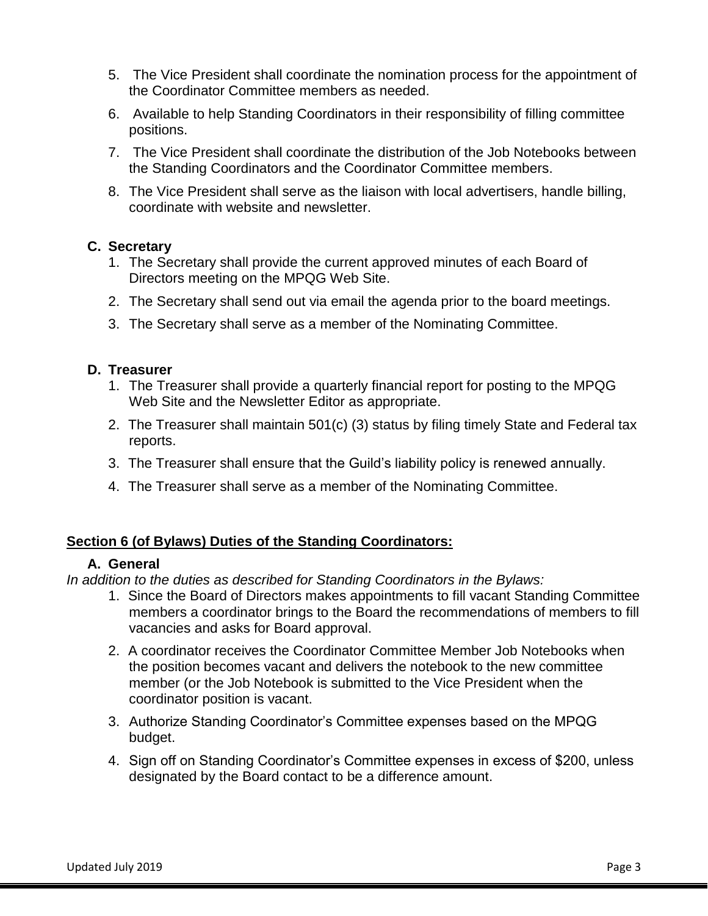- 5. The Vice President shall coordinate the nomination process for the appointment of the Coordinator Committee members as needed.
- 6. Available to help Standing Coordinators in their responsibility of filling committee positions.
- 7. The Vice President shall coordinate the distribution of the Job Notebooks between the Standing Coordinators and the Coordinator Committee members.
- 8. The Vice President shall serve as the liaison with local advertisers, handle billing, coordinate with website and newsletter.

# **C. Secretary**

- 1. The Secretary shall provide the current approved minutes of each Board of Directors meeting on the MPQG Web Site.
- 2. The Secretary shall send out via email the agenda prior to the board meetings.
- 3. The Secretary shall serve as a member of the Nominating Committee.

# **D. Treasurer**

- 1. The Treasurer shall provide a quarterly financial report for posting to the MPQG Web Site and the Newsletter Editor as appropriate.
- 2. The Treasurer shall maintain 501(c) (3) status by filing timely State and Federal tax reports.
- 3. The Treasurer shall ensure that the Guild's liability policy is renewed annually.
- 4. The Treasurer shall serve as a member of the Nominating Committee.

# **Section 6 (of Bylaws) Duties of the Standing Coordinators:**

# **A. General**

*In addition to the duties as described for Standing Coordinators in the Bylaws:*

- 1. Since the Board of Directors makes appointments to fill vacant Standing Committee members a coordinator brings to the Board the recommendations of members to fill vacancies and asks for Board approval.
- 2. A coordinator receives the Coordinator Committee Member Job Notebooks when the position becomes vacant and delivers the notebook to the new committee member (or the Job Notebook is submitted to the Vice President when the coordinator position is vacant.
- 3. Authorize Standing Coordinator's Committee expenses based on the MPQG budget.
- 4. Sign off on Standing Coordinator's Committee expenses in excess of \$200, unless designated by the Board contact to be a difference amount.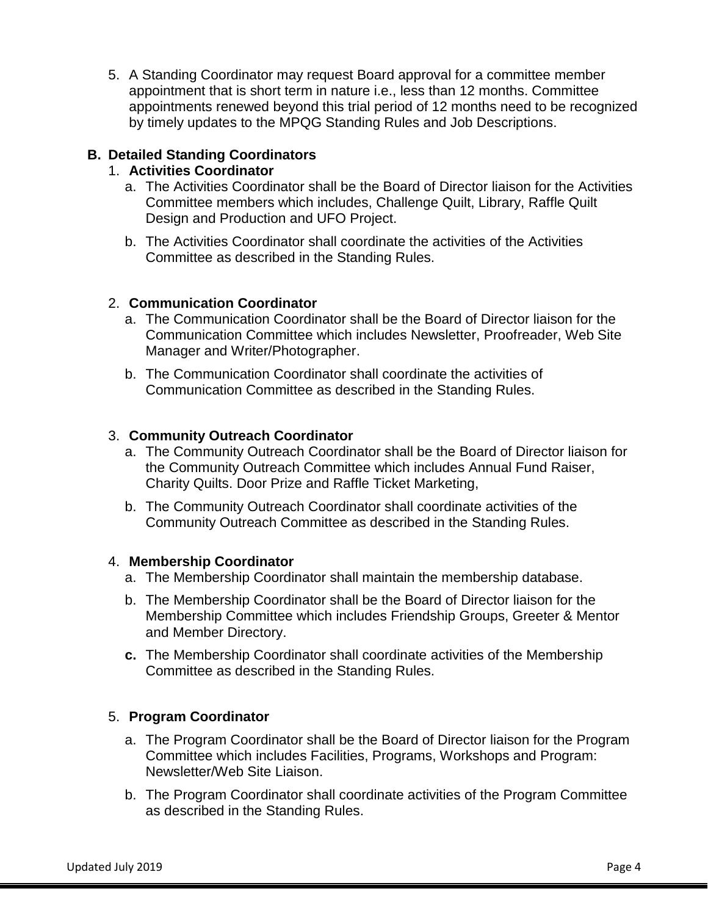5. A Standing Coordinator may request Board approval for a committee member appointment that is short term in nature i.e., less than 12 months. Committee appointments renewed beyond this trial period of 12 months need to be recognized by timely updates to the MPQG Standing Rules and Job Descriptions.

# **B. Detailed Standing Coordinators**

# 1. **Activities Coordinator**

- a. The Activities Coordinator shall be the Board of Director liaison for the Activities Committee members which includes, Challenge Quilt, Library, Raffle Quilt Design and Production and UFO Project.
- b. The Activities Coordinator shall coordinate the activities of the Activities Committee as described in the Standing Rules.

# 2. **Communication Coordinator**

- a. The Communication Coordinator shall be the Board of Director liaison for the Communication Committee which includes Newsletter, Proofreader, Web Site Manager and Writer/Photographer.
- b. The Communication Coordinator shall coordinate the activities of Communication Committee as described in the Standing Rules.

# 3. **Community Outreach Coordinator**

- a. The Community Outreach Coordinator shall be the Board of Director liaison for the Community Outreach Committee which includes Annual Fund Raiser, Charity Quilts. Door Prize and Raffle Ticket Marketing,
- b. The Community Outreach Coordinator shall coordinate activities of the Community Outreach Committee as described in the Standing Rules.

# 4. **Membership Coordinator**

- a. The Membership Coordinator shall maintain the membership database.
- b. The Membership Coordinator shall be the Board of Director liaison for the Membership Committee which includes Friendship Groups, Greeter & Mentor and Member Directory.
- **c.** The Membership Coordinator shall coordinate activities of the Membership Committee as described in the Standing Rules.

# 5. **Program Coordinator**

- a. The Program Coordinator shall be the Board of Director liaison for the Program Committee which includes Facilities, Programs, Workshops and Program: Newsletter/Web Site Liaison.
- b. The Program Coordinator shall coordinate activities of the Program Committee as described in the Standing Rules.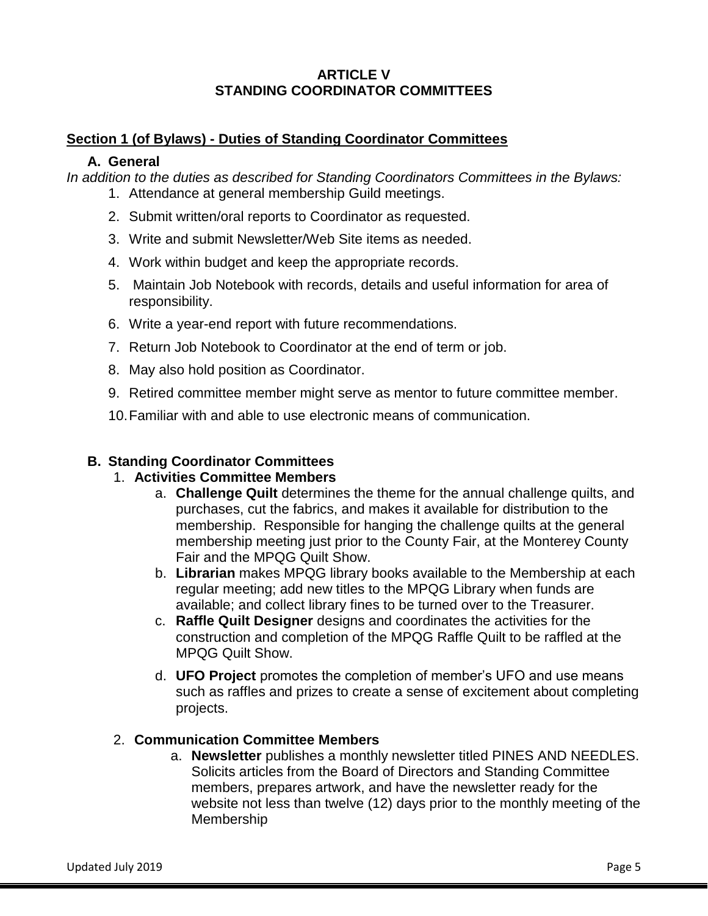# **ARTICLE V STANDING COORDINATOR COMMITTEES**

# **Section 1 (of Bylaws) - Duties of Standing Coordinator Committees**

# **A. General**

*In addition to the duties as described for Standing Coordinators Committees in the Bylaws:*

- 1. Attendance at general membership Guild meetings.
- 2. Submit written/oral reports to Coordinator as requested.
- 3. Write and submit Newsletter/Web Site items as needed.
- 4. Work within budget and keep the appropriate records.
- 5. Maintain Job Notebook with records, details and useful information for area of responsibility.
- 6. Write a year-end report with future recommendations.
- 7. Return Job Notebook to Coordinator at the end of term or job.
- 8. May also hold position as Coordinator.
- 9. Retired committee member might serve as mentor to future committee member.
- 10.Familiar with and able to use electronic means of communication.

# **B. Standing Coordinator Committees**

# 1. **Activities Committee Members**

- a. **Challenge Quilt** determines the theme for the annual challenge quilts, and purchases, cut the fabrics, and makes it available for distribution to the membership. Responsible for hanging the challenge quilts at the general membership meeting just prior to the County Fair, at the Monterey County Fair and the MPQG Quilt Show.
- b. **Librarian** makes MPQG library books available to the Membership at each regular meeting; add new titles to the MPQG Library when funds are available; and collect library fines to be turned over to the Treasurer.
- c. **Raffle Quilt Designer** designs and coordinates the activities for the construction and completion of the MPQG Raffle Quilt to be raffled at the MPQG Quilt Show.
- d. **UFO Project** promotes the completion of member's UFO and use means such as raffles and prizes to create a sense of excitement about completing projects.

# 2. **Communication Committee Members**

a. **Newsletter** publishes a monthly newsletter titled PINES AND NEEDLES. Solicits articles from the Board of Directors and Standing Committee members, prepares artwork, and have the newsletter ready for the website not less than twelve (12) days prior to the monthly meeting of the Membership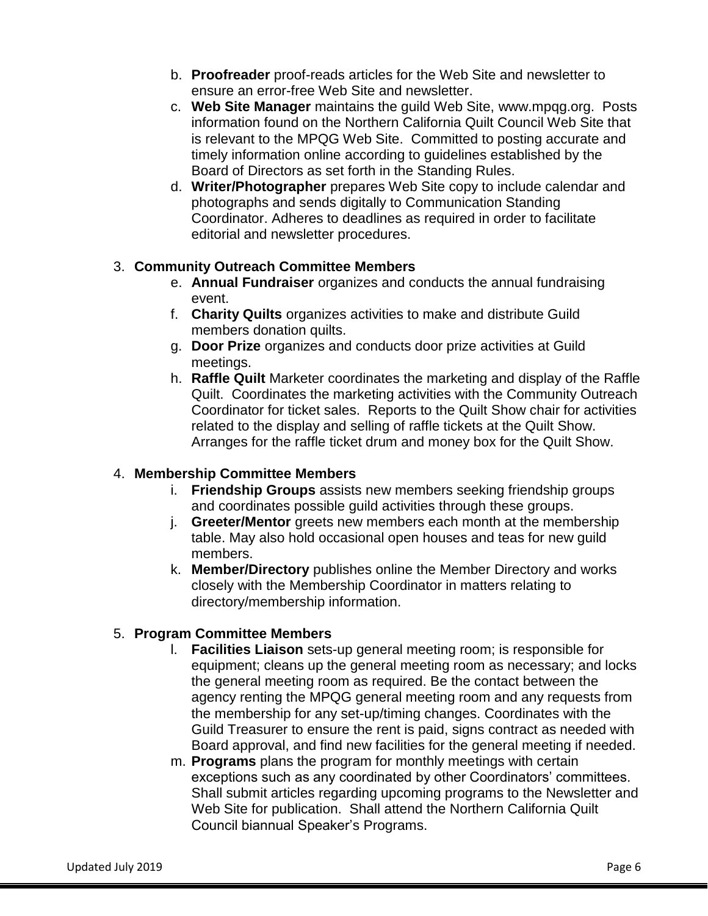- b. **Proofreader** proof-reads articles for the Web Site and newsletter to ensure an error-free Web Site and newsletter.
- c. **Web Site Manager** maintains the guild Web Site, [www.mpqg.org.](http://www.mpqg.org/) Posts information found on the Northern California Quilt Council Web Site that is relevant to the MPQG Web Site. Committed to posting accurate and timely information online according to guidelines established by the Board of Directors as set forth in the Standing Rules.
- d. **Writer/Photographer** prepares Web Site copy to include calendar and photographs and sends digitally to Communication Standing Coordinator. Adheres to deadlines as required in order to facilitate editorial and newsletter procedures.

# 3. **Community Outreach Committee Members**

- e. **Annual Fundraiser** organizes and conducts the annual fundraising event.
- f. **Charity Quilts** organizes activities to make and distribute Guild members donation quilts.
- g. **Door Prize** organizes and conducts door prize activities at Guild meetings.
- h. **Raffle Quilt** Marketer coordinates the marketing and display of the Raffle Quilt. Coordinates the marketing activities with the Community Outreach Coordinator for ticket sales. Reports to the Quilt Show chair for activities related to the display and selling of raffle tickets at the Quilt Show. Arranges for the raffle ticket drum and money box for the Quilt Show.

# 4. **Membership Committee Members**

- i. **Friendship Groups** assists new members seeking friendship groups and coordinates possible guild activities through these groups.
- j. **Greeter/Mentor** greets new members each month at the membership table. May also hold occasional open houses and teas for new guild members.
- k. **Member/Directory** publishes online the Member Directory and works closely with the Membership Coordinator in matters relating to directory/membership information.

# 5. **Program Committee Members**

- l. **Facilities Liaison** sets-up general meeting room; is responsible for equipment; cleans up the general meeting room as necessary; and locks the general meeting room as required. Be the contact between the agency renting the MPQG general meeting room and any requests from the membership for any set-up/timing changes. Coordinates with the Guild Treasurer to ensure the rent is paid, signs contract as needed with Board approval, and find new facilities for the general meeting if needed.
- m. **Programs** plans the program for monthly meetings with certain exceptions such as any coordinated by other Coordinators' committees. Shall submit articles regarding upcoming programs to the Newsletter and Web Site for publication. Shall attend the Northern California Quilt Council biannual Speaker's Programs.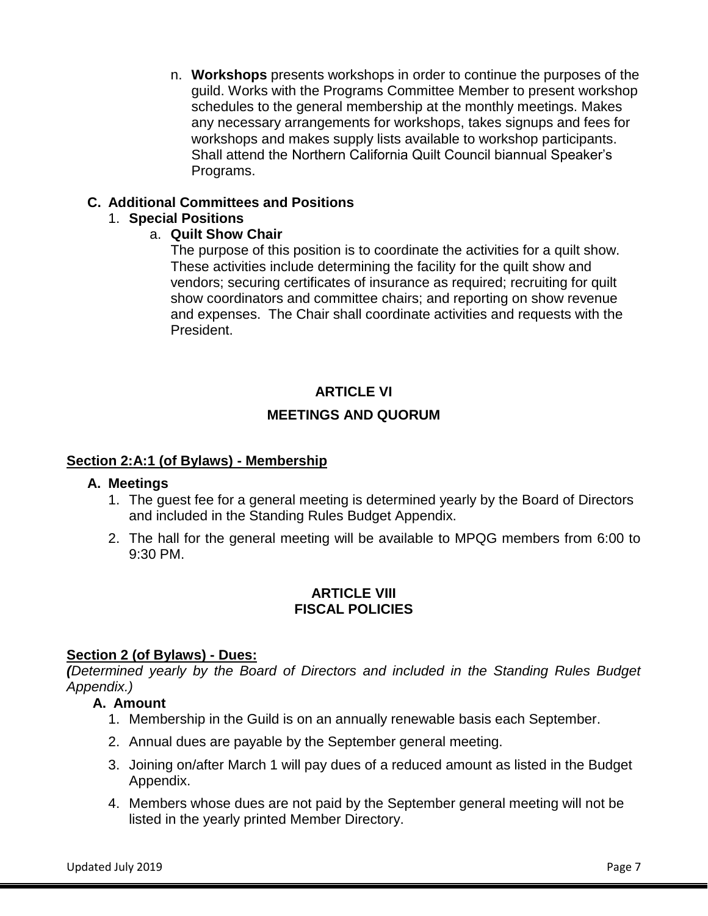n. **Workshops** presents workshops in order to continue the purposes of the guild. Works with the Programs Committee Member to present workshop schedules to the general membership at the monthly meetings. Makes any necessary arrangements for workshops, takes signups and fees for workshops and makes supply lists available to workshop participants. Shall attend the Northern California Quilt Council biannual Speaker's Programs.

# **C. Additional Committees and Positions**

#### 1. **Special Positions**

# a. **Quilt Show Chair**

The purpose of this position is to coordinate the activities for a quilt show. These activities include determining the facility for the quilt show and vendors; securing certificates of insurance as required; recruiting for quilt show coordinators and committee chairs; and reporting on show revenue and expenses. The Chair shall coordinate activities and requests with the President.

# **ARTICLE VI MEETINGS AND QUORUM**

# **Section 2:A:1 (of Bylaws) - Membership**

#### **A. Meetings**

- 1. The guest fee for a general meeting is determined yearly by the Board of Directors and included in the Standing Rules Budget Appendix.
- 2. The hall for the general meeting will be available to MPQG members from 6:00 to 9:30 PM.

# **ARTICLE VIII FISCAL POLICIES**

# **Section 2 (of Bylaws) - Dues:**

*(Determined yearly by the Board of Directors and included in the Standing Rules Budget Appendix.)*

# **A. Amount**

- 1. Membership in the Guild is on an annually renewable basis each September.
- 2. Annual dues are payable by the September general meeting.
- 3. Joining on/after March 1 will pay dues of a reduced amount as listed in the Budget Appendix.
- 4. Members whose dues are not paid by the September general meeting will not be listed in the yearly printed Member Directory.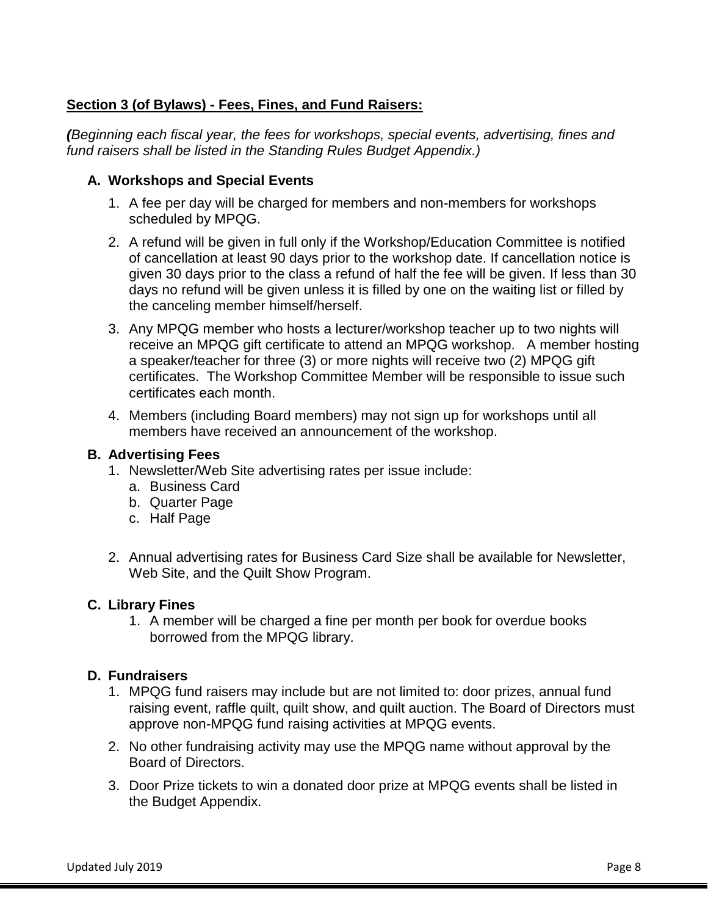# **Section 3 (of Bylaws) - Fees, Fines, and Fund Raisers:**

*(Beginning each fiscal year, the fees for workshops, special events, advertising, fines and fund raisers shall be listed in the Standing Rules Budget Appendix.)*

# **A. Workshops and Special Events**

- 1. A fee per day will be charged for members and non-members for workshops scheduled by MPQG.
- 2. A refund will be given in full only if the Workshop/Education Committee is notified of cancellation at least 90 days prior to the workshop date. If cancellation notice is given 30 days prior to the class a refund of half the fee will be given. If less than 30 days no refund will be given unless it is filled by one on the waiting list or filled by the canceling member himself/herself.
- 3. Any MPQG member who hosts a lecturer/workshop teacher up to two nights will receive an MPQG gift certificate to attend an MPQG workshop. A member hosting a speaker/teacher for three (3) or more nights will receive two (2) MPQG gift certificates. The Workshop Committee Member will be responsible to issue such certificates each month.
- 4. Members (including Board members) may not sign up for workshops until all members have received an announcement of the workshop.

# **B. Advertising Fees**

- 1. Newsletter/Web Site advertising rates per issue include:
	- a. Business Card
	- b. Quarter Page
	- c. Half Page
- 2. Annual advertising rates for Business Card Size shall be available for Newsletter, Web Site, and the Quilt Show Program.

#### **C. Library Fines**

1. A member will be charged a fine per month per book for overdue books borrowed from the MPQG library.

#### **D. Fundraisers**

- 1. MPQG fund raisers may include but are not limited to: door prizes, annual fund raising event, raffle quilt, quilt show, and quilt auction. The Board of Directors must approve non-MPQG fund raising activities at MPQG events.
- 2. No other fundraising activity may use the MPQG name without approval by the Board of Directors.
- 3. Door Prize tickets to win a donated door prize at MPQG events shall be listed in the Budget Appendix.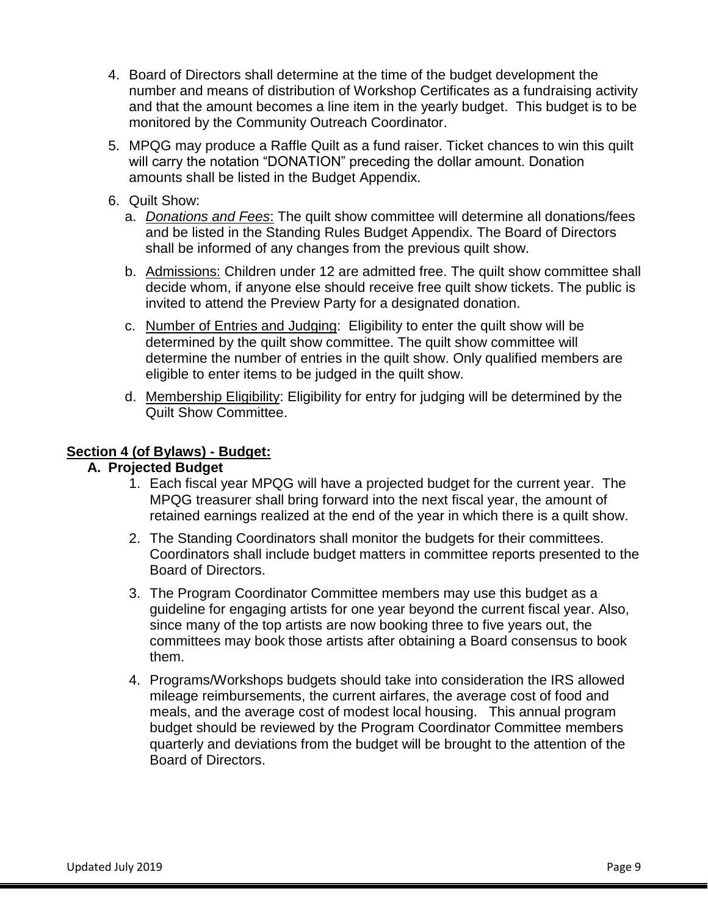- 4. Board of Directors shall determine at the time of the budget development the number and means of distribution of Workshop Certificates as a fundraising activity and that the amount becomes a line item in the yearly budget. This budget is to be monitored by the Community Outreach Coordinator.
- 5. MPQG may produce a Raffle Quilt as a fund raiser. Ticket chances to win this quilt will carry the notation "DONATION" preceding the dollar amount. Donation amounts shall be listed in the Budget Appendix.
- 6. Quilt Show:
	- a. *Donations and Fees*: The quilt show committee will determine all donations/fees and be listed in the Standing Rules Budget Appendix. The Board of Directors shall be informed of any changes from the previous quilt show.
	- b. Admissions: Children under 12 are admitted free. The quilt show committee shall decide whom, if anyone else should receive free quilt show tickets. The public is invited to attend the Preview Party for a designated donation.
	- c. Number of Entries and Judging: Eligibility to enter the quilt show will be determined by the quilt show committee. The quilt show committee will determine the number of entries in the quilt show. Only qualified members are eligible to enter items to be judged in the quilt show.
	- d. Membership Eligibility: Eligibility for entry for judging will be determined by the Quilt Show Committee.

# **Section 4 (of Bylaws) - Budget:**

# **A. Projected Budget**

- 1. Each fiscal year MPQG will have a projected budget for the current year. The MPQG treasurer shall bring forward into the next fiscal year, the amount of retained earnings realized at the end of the year in which there is a quilt show.
- 2. The Standing Coordinators shall monitor the budgets for their committees. Coordinators shall include budget matters in committee reports presented to the Board of Directors.
- 3. The Program Coordinator Committee members may use this budget as a guideline for engaging artists for one year beyond the current fiscal year. Also, since many of the top artists are now booking three to five years out, the committees may book those artists after obtaining a Board consensus to book them.
- 4. Programs/Workshops budgets should take into consideration the IRS allowed mileage reimbursements, the current airfares, the average cost of food and meals, and the average cost of modest local housing. This annual program budget should be reviewed by the Program Coordinator Committee members quarterly and deviations from the budget will be brought to the attention of the Board of Directors.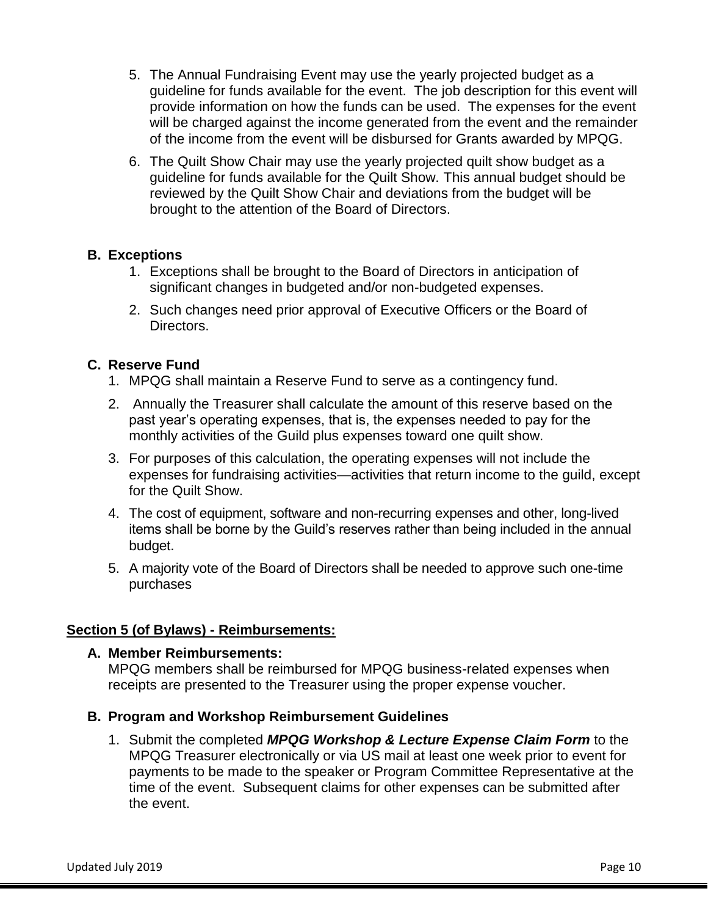- 5. The Annual Fundraising Event may use the yearly projected budget as a guideline for funds available for the event. The job description for this event will provide information on how the funds can be used. The expenses for the event will be charged against the income generated from the event and the remainder of the income from the event will be disbursed for Grants awarded by MPQG.
- 6. The Quilt Show Chair may use the yearly projected quilt show budget as a guideline for funds available for the Quilt Show. This annual budget should be reviewed by the Quilt Show Chair and deviations from the budget will be brought to the attention of the Board of Directors.

# **B. Exceptions**

- 1. Exceptions shall be brought to the Board of Directors in anticipation of significant changes in budgeted and/or non-budgeted expenses.
- 2. Such changes need prior approval of Executive Officers or the Board of Directors.

# **C. Reserve Fund**

- 1. MPQG shall maintain a Reserve Fund to serve as a contingency fund.
- 2. Annually the Treasurer shall calculate the amount of this reserve based on the past year's operating expenses, that is, the expenses needed to pay for the monthly activities of the Guild plus expenses toward one quilt show.
- 3. For purposes of this calculation, the operating expenses will not include the expenses for fundraising activities—activities that return income to the guild, except for the Quilt Show.
- 4. The cost of equipment, software and non-recurring expenses and other, long-lived items shall be borne by the Guild's reserves rather than being included in the annual budget.
- 5. A majority vote of the Board of Directors shall be needed to approve such one-time purchases

#### **Section 5 (of Bylaws) - Reimbursements:**

#### **A. Member Reimbursements:**

MPQG members shall be reimbursed for MPQG business-related expenses when receipts are presented to the Treasurer using the proper expense voucher.

- **B. Program and Workshop Reimbursement Guidelines**
	- 1. Submit the completed *MPQG Workshop & Lecture Expense Claim Form* to the MPQG Treasurer electronically or via US mail at least one week prior to event for payments to be made to the speaker or Program Committee Representative at the time of the event. Subsequent claims for other expenses can be submitted after the event.